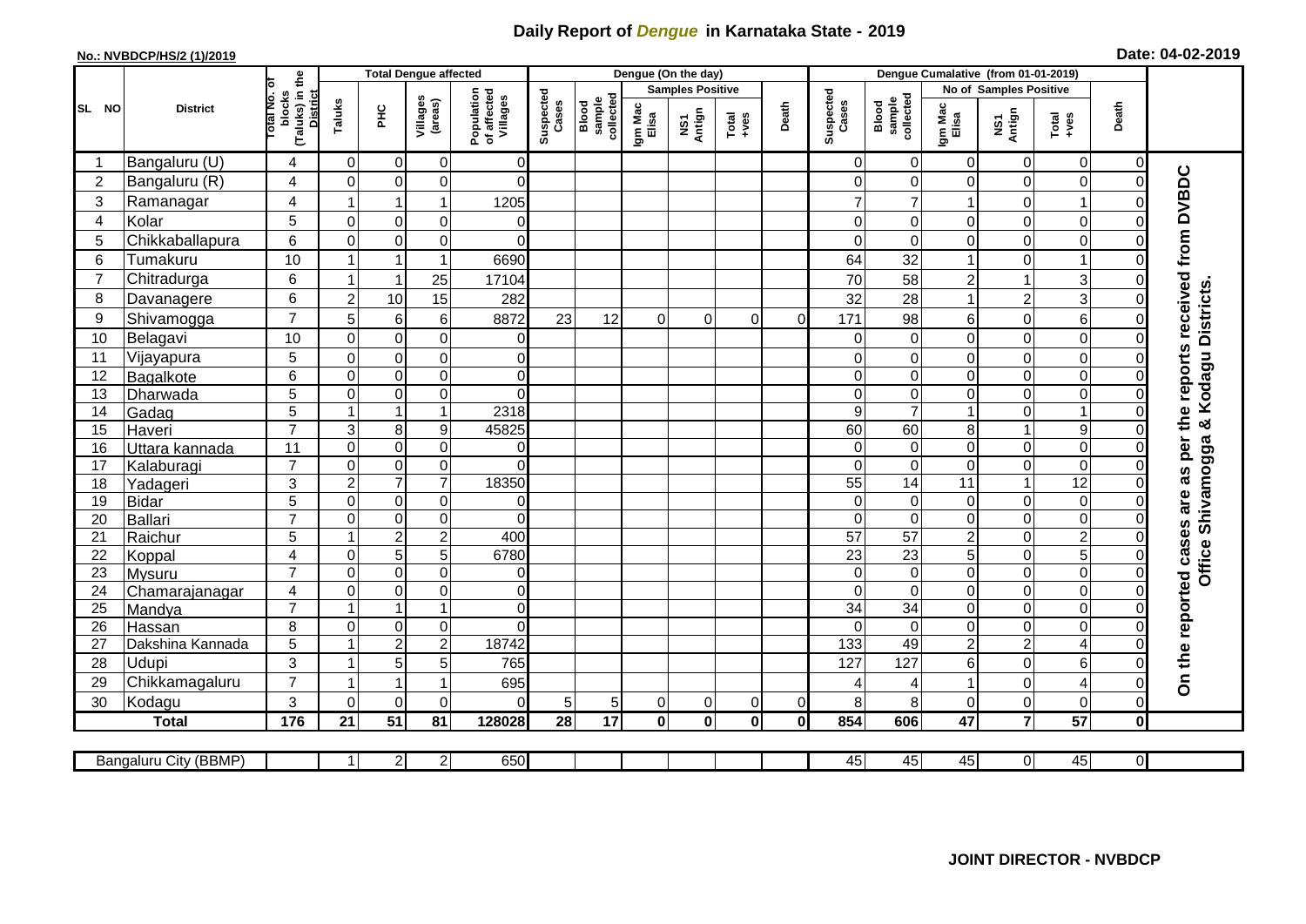## **Daily Report of** *Dengue* **in Karnataka State - 2019**

## **No.: NVBDCP/HS/2 (1)/2019**

|  | Date: 04-02-2019 |  |
|--|------------------|--|
|--|------------------|--|

|                 |                       |                                                   | <b>Total Dengue affected</b> |                  |                     |                                       | Dengue (On the day) |                              |                         |               |          |                |                    | Dengue Cumalative (from 01-01-2019) |                        |                         |                   |              |                                        |  |
|-----------------|-----------------------|---------------------------------------------------|------------------------------|------------------|---------------------|---------------------------------------|---------------------|------------------------------|-------------------------|---------------|----------|----------------|--------------------|-------------------------------------|------------------------|-------------------------|-------------------|--------------|----------------------------------------|--|
|                 | <b>District</b>       | ō                                                 |                              |                  |                     |                                       |                     |                              | <b>Samples Positive</b> |               |          |                |                    |                                     | No of Samples Positive |                         |                   |              |                                        |  |
| SL NO           |                       | (Taluks) in the<br>District<br>blocks<br>otal No. | Taluks                       | ΞÉ               | Villages<br>(areas) | Population<br>of affected<br>Villages | Suspected<br>Cases  | Blood<br>sample<br>collected | Igm Mac<br>Elisa        | NS1<br>Antign | $Total$  | Death          | Suspected<br>Cases | collected<br>sample<br>Blood        | Igm Mac<br>Elisa       | NS1<br>Antign           | Total<br>$+ve$ es | Death        |                                        |  |
| -1              | Bangaluru (U)         | 4                                                 | $\mathbf 0$                  | 0                | 0                   | $\Omega$                              |                     |                              |                         |               |          |                | 0                  | 0                                   | 0                      | $\overline{0}$          | 0                 | 0            |                                        |  |
| $\overline{2}$  | Bangaluru (R)         | 4                                                 | $\mathbf 0$                  | $\mathbf 0$      | 0                   | $\mathbf 0$                           |                     |                              |                         |               |          |                | $\Omega$           | 0                                   | 0                      | $\overline{0}$          | $\pmb{0}$         | $\Omega$     |                                        |  |
| 3               | Ramanagar             | 4                                                 | -1                           | -1               | 1                   | 1205                                  |                     |                              |                         |               |          |                |                    | $\overline{7}$                      | 1                      | 0                       | $\mathbf 1$       |              | as per the reports received from DVBDC |  |
| $\overline{4}$  | Kolar                 | 5                                                 | $\mathbf 0$                  | $\mathbf 0$      | 0                   | 0                                     |                     |                              |                         |               |          |                | $\Omega$           | $\Omega$                            | 0                      | $\mathbf 0$             | $\boldsymbol{0}$  |              |                                        |  |
| 5               | Chikkaballapura       | $\,6$                                             | $\overline{0}$               | $\mathbf 0$      | 0                   | $\overline{0}$                        |                     |                              |                         |               |          |                | $\Omega$           | $\mathbf 0$                         | 0                      | $\overline{0}$          | $\boldsymbol{0}$  |              |                                        |  |
| 6               | Tumakuru              | 10                                                |                              | $\overline{1}$   | $\mathbf{1}$        | 6690                                  |                     |                              |                         |               |          |                | 64                 | 32                                  | 1                      | $\mathbf 0$             | $\mathbf{1}$      |              |                                        |  |
| $\overline{7}$  | Chitradurga           | $\,6\,$                                           | $\mathbf{1}$                 | $\overline{1}$   | 25                  | 17104                                 |                     |                              |                         |               |          |                | 70                 | 58                                  | $\overline{c}$         | $\mathbf{1}$            | $\mathbf{3}$      |              |                                        |  |
| 8               | Davanagere            | 6                                                 | $\overline{2}$               | 10               | 15                  | 282                                   |                     |                              |                         |               |          |                | 32                 | 28                                  | $\mathbf{1}$           | $\overline{c}$          | 3                 |              |                                        |  |
| 9               | Shivamogga            | $\overline{7}$                                    | 5                            | 6                | 6                   | 8872                                  | 23                  | 12                           | $\Omega$                | $\Omega$      | $\Omega$ | $\Omega$       | 171                | 98                                  | 6                      | $\pmb{0}$               | $6\phantom{1}6$   |              | Office Shivamogga & Kodagu Districts.  |  |
| 10              | Belagavi              | 10                                                | $\mathbf 0$                  | $\mathbf 0$      | 0                   | $\overline{0}$                        |                     |                              |                         |               |          |                | $\Omega$           | $\mathbf 0$                         | 0                      | $\overline{0}$          | $\mathbf 0$       |              |                                        |  |
| 11              | Vijayapura            | 5                                                 | $\mathbf 0$                  | $\mathbf 0$      | $\pmb{0}$           | $\overline{0}$                        |                     |                              |                         |               |          |                |                    | $\mathbf 0$                         | 0                      | $\pmb{0}$               | $\mathbf 0$       |              |                                        |  |
| 12              | Bagalkote             | 6                                                 | $\mathbf 0$                  | $\boldsymbol{0}$ | 0                   | $\overline{0}$                        |                     |                              |                         |               |          |                | $\Omega$           | $\overline{0}$                      | 0                      | $\overline{0}$          | $\mathbf 0$       |              |                                        |  |
| 13              | Dharwada              | $\overline{5}$                                    | $\Omega$                     | $\boldsymbol{0}$ | 0                   | $\Omega$                              |                     |                              |                         |               |          |                | $\Omega$           | $\mathbf 0$                         | 0                      | $\mathbf 0$             | $\mathbf 0$       |              |                                        |  |
| 14              | Gadag                 | $\overline{5}$                                    | $\mathbf{1}$                 | $\overline{1}$   | $\mathbf{1}$        | 2318                                  |                     |                              |                         |               |          |                | 9                  | $\overline{7}$                      | $\mathbf{1}$           | $\mathbf 0$             | $\overline{1}$    |              |                                        |  |
| 15              | Haveri                | $\overline{7}$                                    | 3 <sup>1</sup>               | $\bf 8$          | $\boldsymbol{9}$    | 45825                                 |                     |                              |                         |               |          |                | 60                 | 60                                  | 8                      | $\mathbf{1}$            | $\boldsymbol{9}$  |              |                                        |  |
| 16              | Uttara kannada        | 11                                                | $\mathbf 0$                  | $\boldsymbol{0}$ | 0                   | $\overline{0}$                        |                     |                              |                         |               |          |                | $\Omega$           | $\mathbf 0$                         | 0                      | $\overline{0}$          | $\boldsymbol{0}$  |              |                                        |  |
| $\overline{17}$ | Kalaburagi            | $\overline{7}$                                    | $\mathbf 0$                  | $\mathbf 0$      | $\overline{0}$      | $\Omega$                              |                     |                              |                         |               |          |                | $\Omega$           | $\mathbf 0$                         | 0                      | $\mathbf 0$             | $\mathbf 0$       |              |                                        |  |
| 18              | Yadageri              | 3                                                 | $\boldsymbol{2}$             | $\overline{7}$   | $\overline{7}$      | 18350                                 |                     |                              |                         |               |          |                | 55                 | 14                                  | 11                     | $\mathbf{1}$            | 12                |              |                                        |  |
| 19              | <b>Bidar</b>          | 5                                                 | $\mathbf 0$                  | $\pmb{0}$        | 0                   | 0                                     |                     |                              |                         |               |          |                | $\Omega$           | $\mathbf 0$                         | 0                      | $\mathsf 0$             | $\boldsymbol{0}$  |              | are                                    |  |
| 20              | Ballari               | $\overline{7}$                                    | $\Omega$                     | $\pmb{0}$        | $\pmb{0}$           | $\Omega$                              |                     |                              |                         |               |          |                | $\Omega$           | $\mathbf 0$                         | 0                      | $\overline{0}$          | $\boldsymbol{0}$  |              |                                        |  |
| $\overline{21}$ | Raichur               | 5                                                 | $\overline{ }$               | $\overline{2}$   | $\overline{2}$      | 400                                   |                     |                              |                         |               |          |                | $\overline{57}$    | 57                                  | $\overline{2}$         | $\overline{0}$          | $\overline{2}$    |              |                                        |  |
| 22              | Koppal                | $\overline{4}$                                    | $\mathbf 0$                  | 5                | 5                   | 6780                                  |                     |                              |                         |               |          |                | 23                 | $\overline{23}$                     | 5                      | $\pmb{0}$               | $\overline{5}$    |              |                                        |  |
| 23              | Mysuru                | $\overline{7}$                                    | $\Omega$                     | $\pmb{0}$        | 0                   | $\overline{0}$                        |                     |                              |                         |               |          |                | $\Omega$           | $\mathbf 0$                         | 0                      | $\overline{0}$          | $\mathbf 0$       | 0            |                                        |  |
| 24              | Chamarajanagar        | $\overline{4}$                                    | $\mathbf 0$                  | $\mathbf 0$      | $\overline{0}$      | $\overline{0}$                        |                     |                              |                         |               |          |                | $\Omega$           | $\mathbf 0$                         | 0                      | $\mathbf 0$             | $\overline{0}$    | 0            |                                        |  |
| 25              | Mandya                | $\overline{7}$                                    | $\overline{1}$               | $\overline{1}$   | $\mathbf{1}$        | $\overline{0}$                        |                     |                              |                         |               |          |                | 34                 | 34                                  | 0                      | $\overline{0}$          | $\boldsymbol{0}$  |              |                                        |  |
| 26              | Hassan                | 8                                                 | $\mathbf 0$                  | $\mathbf 0$      | 0                   | $\Omega$                              |                     |                              |                         |               |          |                |                    | $\Omega$                            | $\Omega$               | $\overline{0}$          | $\mathbf 0$       |              |                                        |  |
| 27              | Dakshina Kannada      | 5                                                 | $\mathbf{1}$                 | $\overline{2}$   | $\overline{2}$      | 18742                                 |                     |                              |                         |               |          |                | 133                | 49                                  | $\overline{c}$         | $\overline{c}$          | $\overline{4}$    |              |                                        |  |
| 28              | Udupi                 | 3                                                 | -1                           | 5                | 5                   | 765                                   |                     |                              |                         |               |          |                | 127                | 127                                 | 6                      | $\mathbf 0$             | $\,6$             |              | On the reported cases                  |  |
| 29              | Chikkamagaluru        | $\overline{7}$                                    | 1                            | 1                | 1                   | 695                                   |                     |                              |                         |               |          |                |                    | 4                                   | 1                      | $\mathbf 0$             | $\overline{4}$    |              |                                        |  |
| 30              | Kodagu                | 3                                                 | $\Omega$                     | $\mathbf 0$      | 0                   | $\Omega$                              | 5                   | 5 <sup>1</sup>               | ΩI                      | $\Omega$      | 0        | $\overline{0}$ | 8                  | 8                                   | 0                      | 0                       | $\mathbf 0$       | $\Omega$     |                                        |  |
|                 | <b>Total</b>          | 176                                               | 21                           | 51               | 81                  | 128028                                | 28                  | $\overline{17}$              | $\mathbf{0}$            | $\mathbf 0$   | $\bf{0}$ | $\mathbf{0}$   | 854                | 606                                 | 47                     | $\overline{\mathbf{7}}$ | $\overline{57}$   | $\mathbf{0}$ |                                        |  |
|                 |                       |                                                   |                              |                  |                     |                                       |                     |                              |                         |               |          |                |                    |                                     |                        |                         |                   |              |                                        |  |
|                 | Bangaluru City (BBMP) |                                                   | $\mathbf{1}$                 | $2 \vert$        | $\overline{2}$      | 650                                   |                     |                              |                         |               |          |                | 45                 | 45                                  | 45                     | $\overline{0}$          | 45                | οI           |                                        |  |